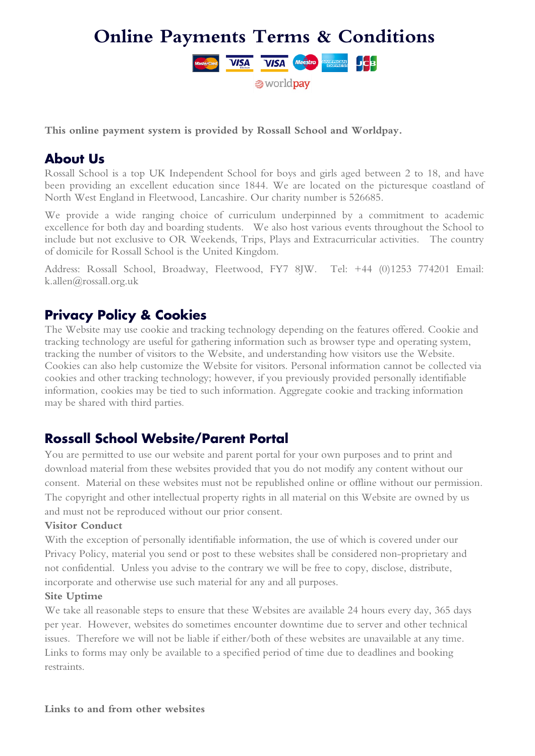

#### **This online payment system is provided by Rossall School and Worldpay.**

#### **About Us**

Rossall School is a top UK Independent School for boys and girls aged between 2 to 18, and have been providing an excellent education since 1844. We are located on the picturesque coastland of North West England in Fleetwood, Lancashire. Our charity number is 526685.

We provide a wide ranging choice of curriculum underpinned by a commitment to academic excellence for both day and boarding students. We also host various events throughout the School to include but not exclusive to OR Weekends, Trips, Plays and Extracurricular activities. The country of domicile for Rossall School is the United Kingdom.

Address: Rossall School, Broadway, Fleetwood, FY7 8JW. Tel: +44 (0)1253 774201 Email: k.allen@rossall.org.uk

# **Privacy Policy & Cookies**

The Website may use cookie and tracking technology depending on the features offered. Cookie and tracking technology are useful for gathering information such as browser type and operating system, tracking the number of visitors to the Website, and understanding how visitors use the Website. Cookies can also help customize the Website for visitors. Personal information cannot be collected via cookies and other tracking technology; however, if you previously provided personally identifiable information, cookies may be tied to such information. Aggregate cookie and tracking information may be shared with third parties.

# **Rossall School Website/Parent Portal**

You are permitted to use our website and parent portal for your own purposes and to print and download material from these websites provided that you do not modify any content without our consent. Material on these websites must not be republished online or offline without our permission. The copyright and other intellectual property rights in all material on this Website are owned by us and must not be reproduced without our prior consent.

#### **Visitor Conduct**

With the exception of personally identifiable information, the use of which is covered under our Privacy Policy, material you send or post to these websites shall be considered non-proprietary and not confidential. Unless you advise to the contrary we will be free to copy, disclose, distribute, incorporate and otherwise use such material for any and all purposes.

#### **Site Uptime**

We take all reasonable steps to ensure that these Websites are available 24 hours every day, 365 days per year. However, websites do sometimes encounter downtime due to server and other technical issues. Therefore we will not be liable if either/both of these websites are unavailable at any time. Links to forms may only be available to a specified period of time due to deadlines and booking restraints.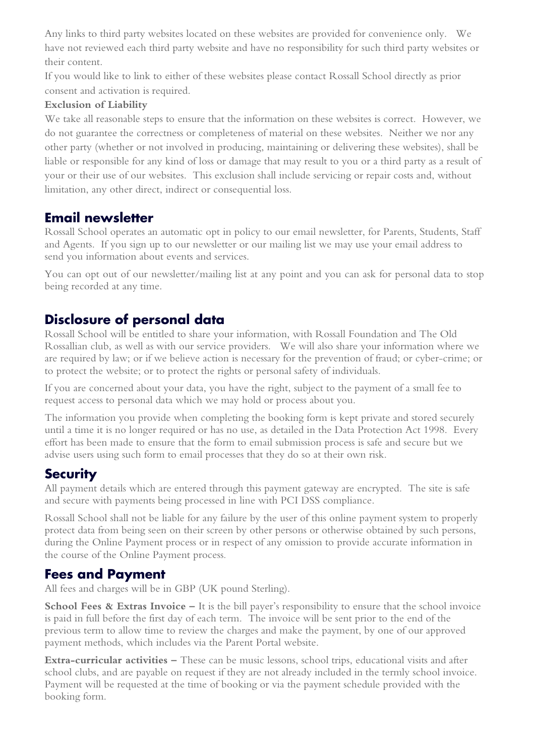Any links to third party websites located on these websites are provided for convenience only. We have not reviewed each third party website and have no responsibility for such third party websites or their content.

If you would like to link to either of these websites please contact Rossall School directly as prior consent and activation is required.

#### **Exclusion of Liability**

We take all reasonable steps to ensure that the information on these websites is correct. However, we do not guarantee the correctness or completeness of material on these websites. Neither we nor any other party (whether or not involved in producing, maintaining or delivering these websites), shall be liable or responsible for any kind of loss or damage that may result to you or a third party as a result of your or their use of our websites. This exclusion shall include servicing or repair costs and, without limitation, any other direct, indirect or consequential loss.

# **Email newsletter**

Rossall School operates an automatic opt in policy to our email newsletter, for Parents, Students, Staff and Agents. If you sign up to our newsletter or our mailing list we may use your email address to send you information about events and services.

You can opt out of our newsletter/mailing list at any point and you can ask for personal data to stop being recorded at any time.

# **Disclosure of personal data**

Rossall School will be entitled to share your information, with Rossall Foundation and The Old Rossallian club, as well as with our service providers. We will also share your information where we are required by law; or if we believe action is necessary for the prevention of fraud; or cyber-crime; or to protect the website; or to protect the rights or personal safety of individuals.

If you are concerned about your data, you have the right, subject to the payment of a small fee to request access to personal data which we may hold or process about you.

The information you provide when completing the booking form is kept private and stored securely until a time it is no longer required or has no use, as detailed in the Data Protection Act 1998. Every effort has been made to ensure that the form to email submission process is safe and secure but we advise users using such form to email processes that they do so at their own risk.

### **Security**

All payment details which are entered through this payment gateway are encrypted. The site is safe and secure with payments being processed in line with PCI DSS compliance.

Rossall School shall not be liable for any failure by the user of this online payment system to properly protect data from being seen on their screen by other persons or otherwise obtained by such persons, during the Online Payment process or in respect of any omission to provide accurate information in the course of the Online Payment process.

### **Fees and Payment**

All fees and charges will be in GBP (UK pound Sterling).

**School Fees & Extras Invoice –** It is the bill payer's responsibility to ensure that the school invoice is paid in full before the first day of each term. The invoice will be sent prior to the end of the previous term to allow time to review the charges and make the payment, by one of our approved payment methods, which includes via the Parent Portal website.

**Extra-curricular activities –** These can be music lessons, school trips, educational visits and after school clubs, and are payable on request if they are not already included in the termly school invoice. Payment will be requested at the time of booking or via the payment schedule provided with the booking form.